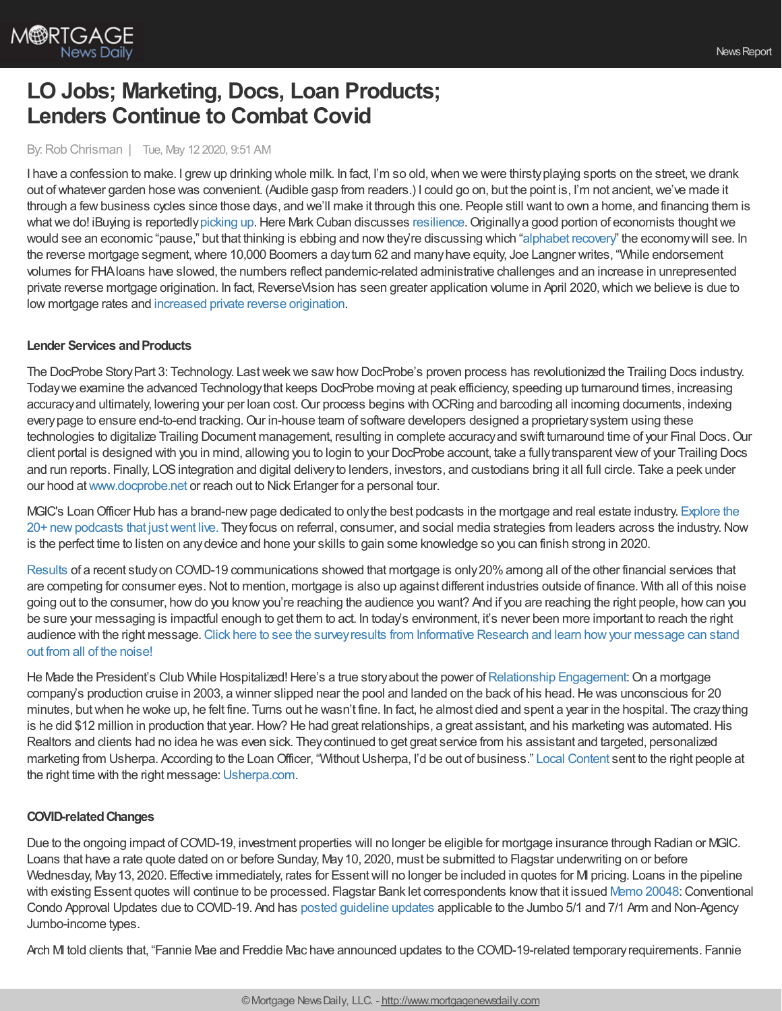

# **LO Jobs; Marketing, Docs, Loan Products; Lenders Continue to Combat Covid**

### By:Rob Chrisman | Tue, May 12 2020, 9:51 AM

I have a confession to make. I grew up drinking whole milk. In fact, I'm so old, when we were thirsty playing sports on the street, we drank out of whatever garden hose was convenient. (Audible gasp from readers.) I could go on, but the point is, I'm not ancient, we've made it through a few business cycles since those days, and we'll make it through this one. People still want to own a home, and financing them is what we do! iBuying is reportedly [picking](https://www.chron.com/business/real-estate/article/iBuyers-ease-back-into-buying-homes-15255119.php) up. Here Mark Cuban discusses [resilience.](https://www.salesforce.com/form/sflive/stories-of-resilience/) Originally a good portion of economists thought we would see an economic "pause," but that thinking is ebbing and nowthey're discussing which "[alphabet](https://www.robchrisman.com/recovery-alphabet/) recovery" the economywill see. In the reverse mortgage segment,where 10,000 Boomers a dayturn 62 and manyhave equity, Joe Langner writes, "While endorsement volumes for FHAloans have slowed, the numbers reflect pandemic-related administrative challenges and an increase in unrepresented private reverse mortgage origination. In fact, ReverseVision has seen greater application volume in April 2020, which we believe is due to low mortgage rates and increased private reverse [origination](https://reversemortgagedaily.com/2020/05/08/why-april-reverse-mortgage-numbers-dont-tell-the-full-story/).

#### **Lender Services and Products**

The DocProbe Story Part 3: Technology. Last week we saw how DocProbe's proven process has revolutionized the Trailing Docs industry. Todaywe examine the advanced Technologythat keeps DocProbe moving at peak efficiency, speeding up turnaround times, increasing accuracy and ultimately, lowering your per loan cost. Our process begins with OCRing and barcoding all incoming documents, indexing every page to ensure end-to-end tracking. Our in-house team of software developers designed a proprietary system using these technologies to digitalize Trailing Document management, resulting in complete accuracyand swift turnaround time of your Final Docs.Our client portal is designed with you in mind, allowing you to login to your DocProbe account, take a fullytransparent viewof your Trailing Docs and run reports. Finally, LOSintegration and digital deliveryto lenders, investors, and custodians bring it all full circle. Take a peek under our hood at [www.docprobe.net](https://bit.ly/2LktSFm) or reach out to Nick Erlanger for a personal tour.

MGIC's Loan Officer Hub has a brand-new page dedicated to only the best podcasts in the mortgage and real estate industry. Explore the 20+ newpodcasts that justwent live. Theyfocus on referral, consumer, and social media strategies from leaders across the industry.Now is the perfect time to listen on any device and hone your skills to gain some knowledge so you can finish strong in 2020.

[Results](https://www.informativeresearch.com/qualify-your-borrowers/) of a recent study on COVID-19 communications showed that mortgage is only 20% among all of the other financial services that are competing for consumer eyes.Not to mention, mortgage is also up against different industries outside of finance. With all of this noise going out to the consumer, howdo you knowyou're reaching the audience you want? And if you are reaching the right people, howcan you be sure your messaging is impactful enough to get them to act. In today's environment, it's never been more important to reach the right audience with the right message. Click here to see the survey results from Informative Research and learn how your message can stand out from all of the noise!

He Made the President's Club While Hospitalized! Here's a true story about the power of [Relationship](https://bit.ly/3dEuD8C) Engagement: On a mortgage company's production cruise in 2003, a winner slipped near the pool and landed on the back of his head. He was unconscious for 20 minutes, butwhen he woke up, he felt fine. Turns out he wasn't fine. In fact, he almost died and spent a year in the hospital. The crazything is he did \$12 million in production that year. How? He had great relationships, a great assistant, and his marketing was automated. His Realtors and clients had no idea he was even sick. Theycontinued to get great service from his assistant and targeted, personalized marketing from Usherpa. According to the Loan Officer, "Without Usherpa, I'd be out of business." Local [Content](https://bit.ly/2SQeo07) sent to the right people at the right time with the right message: [Usherpa.com](http://bit.ly/33tSnr4).

#### **COVID-relatedChanges**

Due to the ongoing impact of COVID-19, investment properties will no longer be eligible for mortgage insurance through Radian or MGIC. Loans that have a rate quote dated on or before Sunday, May10, 2020, must be submitted to Flagstar underwriting on or before Wednesday, May 13, 2020. Effective immediately, rates for Essent will no longer be included in quotes for MI pricing. Loans in the pipeline with existing Essent quotes will continue to be processed. Flagstar Bank let correspondents know that it issued Memo [20048:](https://www.flagstar.com/content/dam/tpo/sellers-guide/announcements/20048.pdf) Conventional Condo Approval Updates due to COVID-19. And has posted [guideline](https://www.flagstar.com/content/dam/tpo/sellers-guide/announcements/20045.1.pdf) updates applicable to the Jumbo 5/1 and 7/1 Arm and Non-Agency Jumbo-income types.

Arch MI told clients that, "Fannie Mae and Freddie Mac have announced updates to the COVID-19-related temporary requirements. Fannie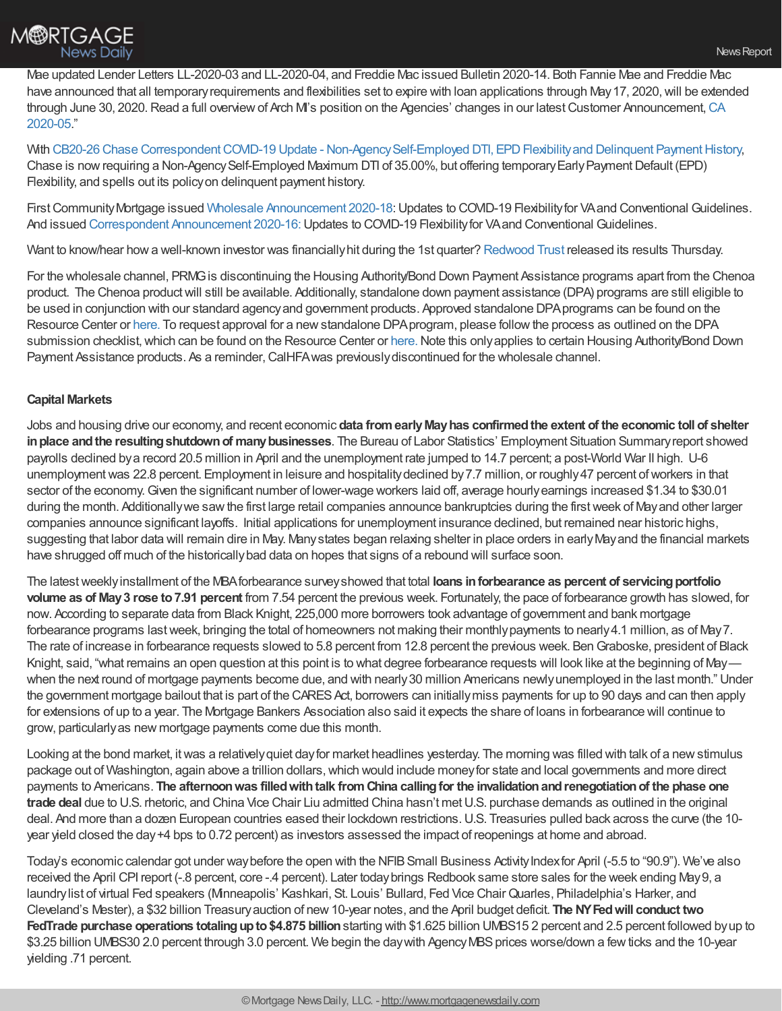

Mae updated Lender Letters LL-2020-03 and LL-2020-04, and Freddie Mac issued Bulletin 2020-14. Both Fannie Mae and Freddie Mac have announced that all temporary requirements and flexibilities set to expire with loan applications through May 17, 2020, will be extended through June 30, 2020. Read a full overview of Arch M's position on the Agencies' changes in our latest Customer Announcement, CA 2020-05."

With CB20-26 Chase Correspondent COVID-19 Update - Non-Agency Self-Employed DTI, EPD Flexibility and Delinquent Payment History, Chase is now requiring a Non-Agency Self-Employed Maximum DTI of 35.00%, but offering temporary Early Payment Default (EPD) Flexibility, and spells out its policyon delinquent payment history.

First Community Mortgage issued Wholesale [Announcement](https://kc.fcmpartners.com/wp-content/uploads/2020/04/2020-18-Wholesale-Announcement.pdf) 2020-18: Updates to COVID-19 Flexibility for VA and Conventional Guidelines. And issued Correspondent [Announcement](https://kc.fcmpartners.com/wp-content/uploads/2020/04/2020-16-DC-Announcement.pdf) 2020-16: Updates to COVID-19 Flexibility for VA and Conventional Guidelines.

Want to know/hear howa well-known investor was financiallyhit during the 1st quarter? [Redwood](http://www.redwoodtrust.com/file/Index?KeyFile=403914083) Trust released its results Thursday.

For the wholesale channel, PRMGis discontinuing the Housing Authority/Bond Down Payment Assistance programs apart from the Chenoa product. The Chenoa productwill still be available. Additionally, standalone down payment assistance (DPA) programs are still eligible to be used in conjunction with our standard agencyand government products. Approved standalone DPAprograms can be found on the Resource Center or [here.](http://www.eprmg.net/ResourceCenter/PoliciesProceduresInformation/PRMG%20DPA%20List.pdf) To request approval for a newstandalone DPAprogram, please followthe process as outlined on the DPA submission checklist, which can be found on the Resource Center or [here.](http://www.eprmg.net/ResourceCenter/GeneralForms/DPA%20Approval%20Submission%20Form.pdf) Note this only applies to certain Housing Authority/Bond Down Payment Assistance products. As a reminder, CalHFA was previously discontinued for the wholesale channel.

## **Capital Markets**

Jobs and housing drive our economy, and recent economic **data fromearlyMayhas confirmedthe extent of the economic toll of shelter inplace andthe resultingshutdownof manybusinesses**. The Bureau of Labor Statistics' Employment Situation Summaryreport showed payrolls declined bya record 20.5 million in April and the unemployment rate jumped to 14.7 percent; a post-World War II high. U-6 unemployment was 22.8 percent. Employment in leisure and hospitality declined by 7.7 million, or roughly 47 percent of workers in that sector of the economy.Given the significant number of lower-wage workers laid off, average hourlyearnings increased \$1.34 to \$30.01 during the month. Additionally we saw the first large retail companies announce bankruptcies during the first week of May and other larger companies announce significant layoffs. Initial applications for unemployment insurance declined, but remained near historic highs, suggesting that labor data will remain dire in May. Many states began relaxing shelter in place orders in early May and the financial markets have shrugged off much of the historicallybad data on hopes that signs of a rebound will surface soon.

The latestweeklyinstallment of the MBAforbearance surveyshowed that total **loans inforbearance as percent of servicingportfolio volume as of May3 rose to7.91 percent** from 7.54 percent the previous week. Fortunately, the pace of forbearance growth has slowed, for now. According to separate data from Black Knight, 225,000 more borrowers took advantage of government and bank mortgage forbearance programs lastweek, bringing the total of homeowners not making their monthlypayments to nearly4.1 million, as of May7. The rate of increase in forbearance requests slowed to 5.8 percent from 12.8 percent the previous week. BenGraboske, president of Black Knight, said, "what remains an open question at this point is to what degree forbearance requests will look like at the beginning of May when the next round of mortgage payments become due, and with nearly30 million Americans newlyunemployed in the last month." Under the government mortgage bailout that is part of the CARES Act, borrowers can initially miss payments for up to 90 days and can then apply for extensions of up to a year. The Mortgage Bankers Association also said it expects the share of loans in forbearance will continue to grow, particularlyas new mortgage payments come due this month.

Looking at the bond market, itwas a relativelyquiet dayfor market headlines yesterday. The morning was filled with talk of a newstimulus package out of Washington, again above a trillion dollars,which would include moneyfor state and local governments and more direct payments to Americans. **The afternoonwas filledwithtalk fromChina callingfor the invalidationandrenegotiationof the phase one trade deal** due to U.S. rhetoric, and China Vice Chair Liu admitted China hasn't met U.S. purchase demands as outlined in the original deal. And more than a dozen European countries eased their lockdown restrictions.U.S. Treasuries pulled back across the curve (the 10 year yield closed the day+4 bps to 0.72 percent) as investors assessed the impact of reopenings at home and abroad.

Today's economic calendar got under way before the open with the NFIB Small Business Activity Index for April (-5.5 to "90.9"). We've also received the April CPI report (-.8 percent, core -.4 percent). Later todaybrings Redbook same store sales for the week ending May9, a laundrylist of virtual Fed speakers (Minneapolis' Kashkari, St. Louis' Bullard, Fed Vice Chair Quarles, Philadelphia's Harker, and Cleveland's Mester), a \$32 billion Treasuryauction of new10-year notes, and the April budget deficit. **The NYFedwill conduct two FedTrade purchase operations totalingupto\$4.875 billion**starting with \$1.625 billion UMBS15 2 percent and 2.5 percent followed byup to \$3.25 billion UMBS30 2.0 percent through 3.0 percent. We begin the day with Agency MBS prices worse/down a few ticks and the 10-year yielding .71 percent.